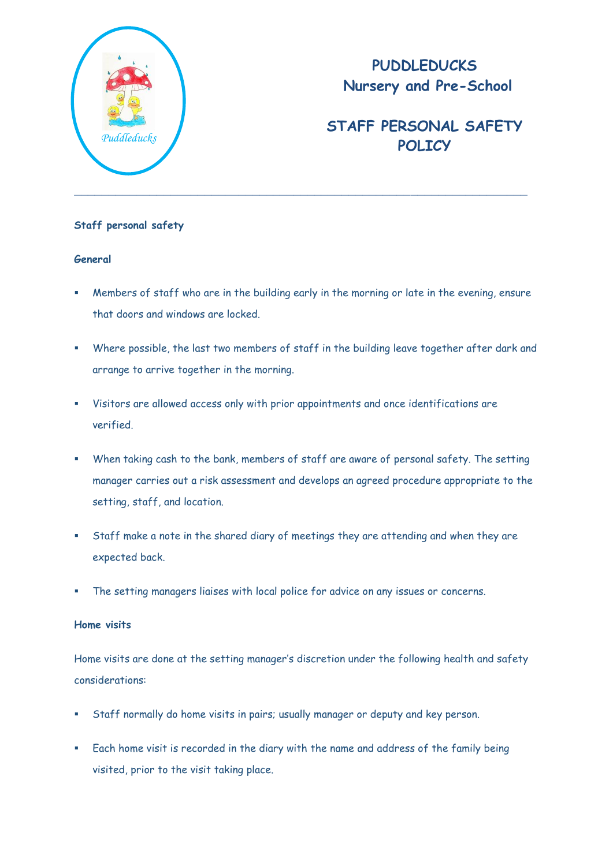

## **PUDDLEDUCKS Nursery and Pre-School**

# **STAFF PERSONAL SAFETY**  *Puddleducks* **POLICY**

### **Staff personal safety**

#### **General**

- Members of staff who are in the building early in the morning or late in the evening, ensure that doors and windows are locked.
- Where possible, the last two members of staff in the building leave together after dark and arrange to arrive together in the morning.
- Visitors are allowed access only with prior appointments and once identifications are verified.
- When taking cash to the bank, members of staff are aware of personal safety. The setting manager carries out a risk assessment and develops an agreed procedure appropriate to the setting, staff, and location.
- Staff make a note in the shared diary of meetings they are attending and when they are expected back.
- The setting managers liaises with local police for advice on any issues or concerns.

#### **Home visits**

Home visits are done at the setting manager's discretion under the following health and safety considerations:

- Staff normally do home visits in pairs; usually manager or deputy and key person.
- Each home visit is recorded in the diary with the name and address of the family being visited, prior to the visit taking place.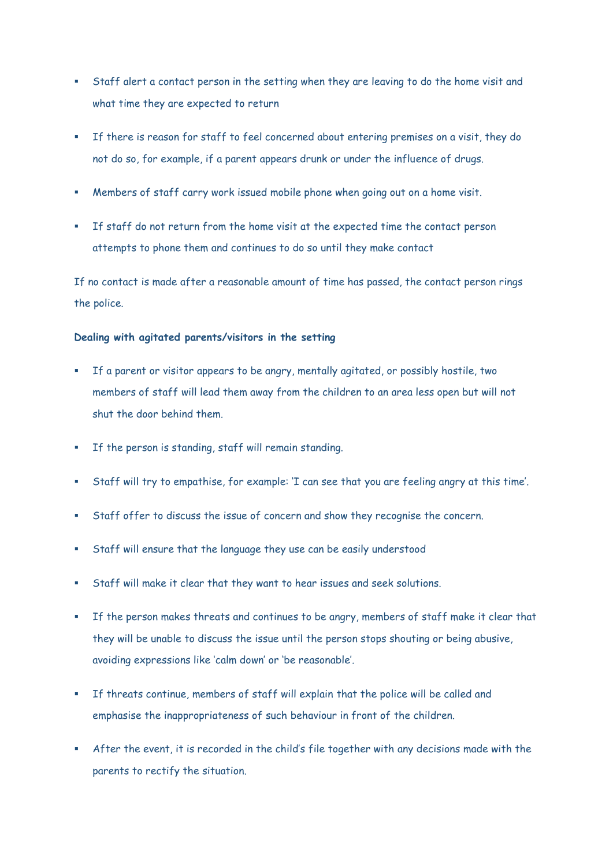- Staff alert a contact person in the setting when they are leaving to do the home visit and what time they are expected to return
- If there is reason for staff to feel concerned about entering premises on a visit, they do not do so, for example, if a parent appears drunk or under the influence of drugs.
- Members of staff carry work issued mobile phone when going out on a home visit.
- If staff do not return from the home visit at the expected time the contact person attempts to phone them and continues to do so until they make contact

If no contact is made after a reasonable amount of time has passed, the contact person rings the police.

#### **Dealing with agitated parents/visitors in the setting**

- If a parent or visitor appears to be angry, mentally agitated, or possibly hostile, two members of staff will lead them away from the children to an area less open but will not shut the door behind them.
- If the person is standing, staff will remain standing.
- Staff will try to empathise, for example: 'I can see that you are feeling angry at this time'.
- Staff offer to discuss the issue of concern and show they recognise the concern.
- Staff will ensure that the language they use can be easily understood
- Staff will make it clear that they want to hear issues and seek solutions.
- If the person makes threats and continues to be angry, members of staff make it clear that they will be unable to discuss the issue until the person stops shouting or being abusive, avoiding expressions like 'calm down' or 'be reasonable'.
- If threats continue, members of staff will explain that the police will be called and emphasise the inappropriateness of such behaviour in front of the children.
- After the event, it is recorded in the child's file together with any decisions made with the parents to rectify the situation.